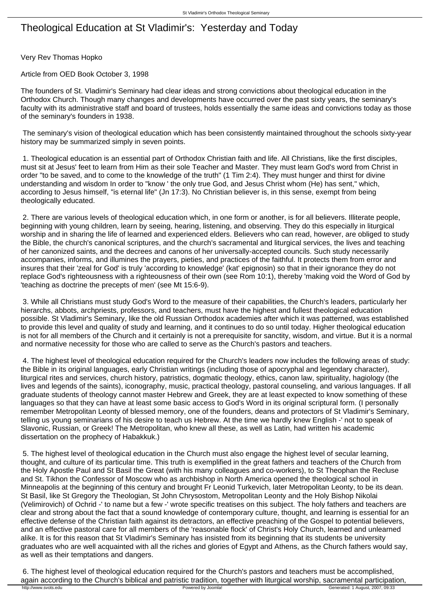## Theological Education at St Vladimir's: Yesterday and Today

Very Rev Thomas Hopko

Article from OED Book October 3, 1998

The founders of St. Vladimir's Seminary had clear ideas and strong convictions about theological education in the Orthodox Church. Though many changes and developments have occurred over the past sixty years, the seminary's faculty with its administrative staff and board of trustees, holds essentially the same ideas and convictions today as those of the seminary's founders in 1938.

 The seminary's vision of theological education which has been consistently maintained throughout the schools sixty-year history may be summarized simply in seven points.

 1. Theological education is an essential part of Orthodox Christian faith and life. All Christians, like the first disciples, must sit at Jesus' feet to learn from Him as their sole Teacher and Master. They must learn God's word from Christ in order "to be saved, and to come to the knowledge of the truth" (1 Tim 2:4). They must hunger and thirst for divine understanding and wisdom In order to "know ' the only true God, and Jesus Christ whom (He) has sent," which, according to Jesus himself, "is eternal life" (Jn 17:3). No Christian believer is, in this sense, exempt from being theologically educated.

 2. There are various levels of theological education which, in one form or another, is for all believers. Illiterate people, beginning with young children, learn by seeing, hearing, listening, and observing. They do this especially in liturgical worship and in sharing the life of learned and experienced elders. Believers who can read, however, are obliged to study the Bible, the church's canonical scriptures, and the church's sacramental and liturgical services, the lives and teaching of her canonized saints, and the decrees and canons of her universally-accepted councils. Such study necessarily accompanies, informs, and illumines the prayers, pieties, and practices of the faithful. It protects them from error and insures that their 'zeal for God' is truly 'according to knowledge' (kat' epignosin) so that in their ignorance they do not replace God's righteousness with a righteousness of their own (see Rom 10:1), thereby 'making void the Word of God by 'teaching as doctrine the precepts of men' (see Mt 15:6-9).

 3. While all Christians must study God's Word to the measure of their capabilities, the Church's leaders, particularly her hierarchs, abbots, archpriests, professors, and teachers, must have the highest and fullest theological education possible. St Vladimir's Seminary, like the old Russian Orthodox academies after which it was patterned, was established to provide this level and quality of study and learning, and it continues to do so until today. Higher theological education is not for all members of the Church and it certainly is not a prerequisite for sanctity, wisdom, and virtue. But it is a normal and normative necessity for those who are called to serve as the Church's pastors and teachers.

 4. The highest level of theological education required for the Church's leaders now includes the following areas of study: the Bible in its original languages, early Christian writings (including those of apocryphal and legendary character), liturgical rites and services, church history, patristics, dogmatic theology, ethics, canon law, spirituality, hagiology (the lives and legends of the saints), iconography, music, practical theology, pastoral counseling, and various languages. If all graduate students of theology cannot master Hebrew and Greek, they are at least expected to know something of these languages so that they can have at least some basic access to God's Word in its original scriptural form. (I personally remember Metropolitan Leonty of blessed memory, one of the founders, deans and protectors of St Vladimir's Seminary, telling us young seminarians of his desire to teach us Hebrew. At the time we hardly knew English -' not to speak of Slavonic, Russian, or Greek! The Metropolitan, who knew all these, as well as Latin, had written his academic dissertation on the prophecy of Habakkuk.)

 5. The highest level of theological education in the Church must also engage the highest level of secular learning, thought, and culture of its particular time. This truth is exemplified in the great fathers and teachers of the Church from the Holy Apostle Paul and St Basil the Great (with his many colleagues and co-workers), to St Theophan the Recluse and St. Tikhon the Confessor of Moscow who as archbishop in North America opened the theological school in Minneapolis at the beginning of this century and brought Fr Leonid Turkevich, later Metropolitan Leonty, to be its dean. St Basil, like St Gregory the Theologian, St John Chrysostom, Metropolitan Leonty and the Holy Bishop Nikolai (Velimirovich) of Ochrid -' to name but a few -' wrote specific treatises on this subject. The holy fathers and teachers are clear and strong about the fact that a sound knowledge of contemporary culture, thought, and learning is essential for an effective defense of the Christian faith against its detractors, an effective preaching of the Gospel to potential believers, and an effective pastoral care for all members of the 'reasonable flock' of Christ's Holy Church, learned and unlearned alike. It is for this reason that St Vladimir's Seminary has insisted from its beginning that its students be university graduates who are well acquainted with all the riches and glories of Egypt and Athens, as the Church fathers would say, as well as their temptations and dangers.

 6. The highest level of theological education required for the Church's pastors and teachers must be accomplished, again according to the Church's biblical and patristic tradition, together with liturgical worship, sacramental participation, the Church's biblical and patristic tradition, together with liturgical worship, sacramental pa